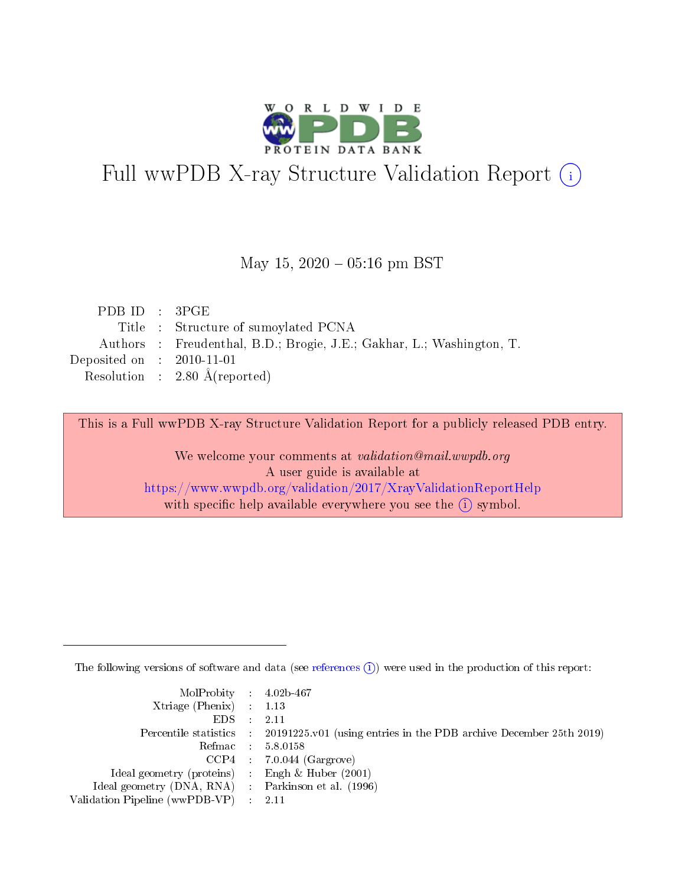

# Full wwPDB X-ray Structure Validation Report (i)

#### May 15,  $2020 - 05:16$  pm BST

| Authors : Freudenthal, B.D.; Brogie, J.E.; Gakhar, L.; Washington, T. |
|-----------------------------------------------------------------------|
|                                                                       |
|                                                                       |
|                                                                       |

This is a Full wwPDB X-ray Structure Validation Report for a publicly released PDB entry.

We welcome your comments at validation@mail.wwpdb.org A user guide is available at <https://www.wwpdb.org/validation/2017/XrayValidationReportHelp> with specific help available everywhere you see the  $(i)$  symbol.

The following versions of software and data (see [references](https://www.wwpdb.org/validation/2017/XrayValidationReportHelp#references)  $(i)$ ) were used in the production of this report:

| MolProbity : $4.02b-467$                            |                                                                                            |
|-----------------------------------------------------|--------------------------------------------------------------------------------------------|
| Xtriage (Phenix) $: 1.13$                           |                                                                                            |
| EDS -                                               | 2.11                                                                                       |
|                                                     | Percentile statistics : 20191225.v01 (using entries in the PDB archive December 25th 2019) |
|                                                     | Refmac 58.0158                                                                             |
|                                                     | $CCP4$ 7.0.044 (Gargrove)                                                                  |
| Ideal geometry (proteins) : Engh $\&$ Huber (2001)  |                                                                                            |
| Ideal geometry (DNA, RNA) : Parkinson et al. (1996) |                                                                                            |
| Validation Pipeline (wwPDB-VP)                      | -2.11                                                                                      |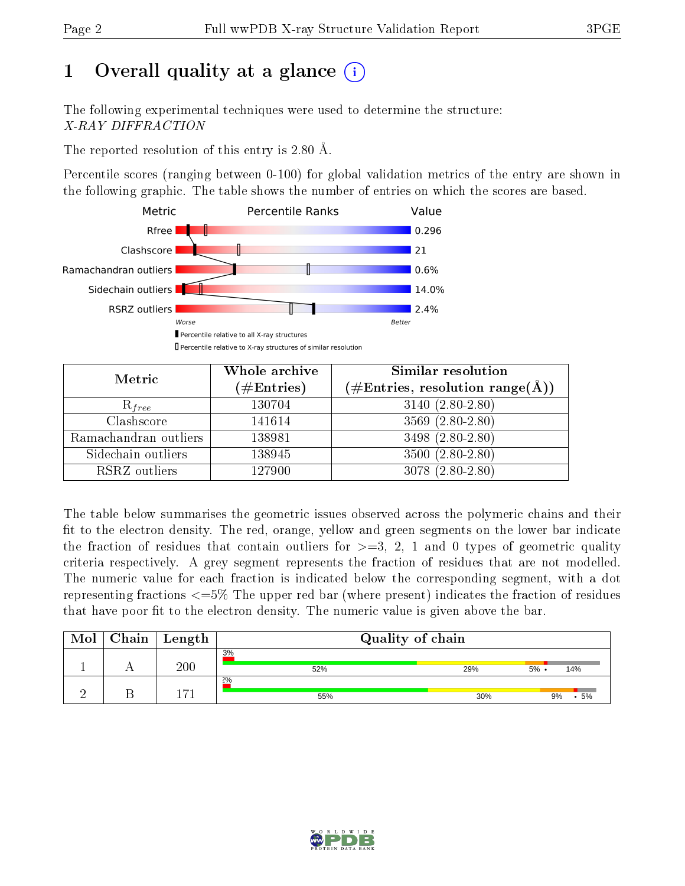## 1 [O](https://www.wwpdb.org/validation/2017/XrayValidationReportHelp#overall_quality)verall quality at a glance  $(i)$

The following experimental techniques were used to determine the structure: X-RAY DIFFRACTION

The reported resolution of this entry is 2.80 Å.

Percentile scores (ranging between 0-100) for global validation metrics of the entry are shown in the following graphic. The table shows the number of entries on which the scores are based.



| Metric                | Whole archive        | <b>Similar resolution</b>                                              |
|-----------------------|----------------------|------------------------------------------------------------------------|
|                       | $(\#\text{Entries})$ | $(\#\text{Entries},\, \text{resolution}\; \text{range}(\textup{\AA}))$ |
| $R_{free}$            | 130704               | $3140(2.80-2.80)$                                                      |
| Clashscore            | 141614               | $3569(2.80-2.80)$                                                      |
| Ramachandran outliers | 138981               | 3498 (2.80-2.80)                                                       |
| Sidechain outliers    | 138945               | $3500 (2.80 - 2.80)$                                                   |
| RSRZ outliers         | 127900               | 3078 (2.80-2.80)                                                       |

The table below summarises the geometric issues observed across the polymeric chains and their fit to the electron density. The red, orange, yellow and green segments on the lower bar indicate the fraction of residues that contain outliers for  $>=3, 2, 1$  and 0 types of geometric quality criteria respectively. A grey segment represents the fraction of residues that are not modelled. The numeric value for each fraction is indicated below the corresponding segment, with a dot representing fractions  $\epsilon=5\%$  The upper red bar (where present) indicates the fraction of residues that have poor fit to the electron density. The numeric value is given above the bar.

| Mol | Chain | $\perp$ Length | Quality of chain |     |                |  |  |  |  |
|-----|-------|----------------|------------------|-----|----------------|--|--|--|--|
|     |       | 200            | 3%<br>52%        | 29% | $5\%$ .<br>14% |  |  |  |  |
|     |       | $-71$          | 2%<br>55%        | 30% | 5%<br>9%       |  |  |  |  |

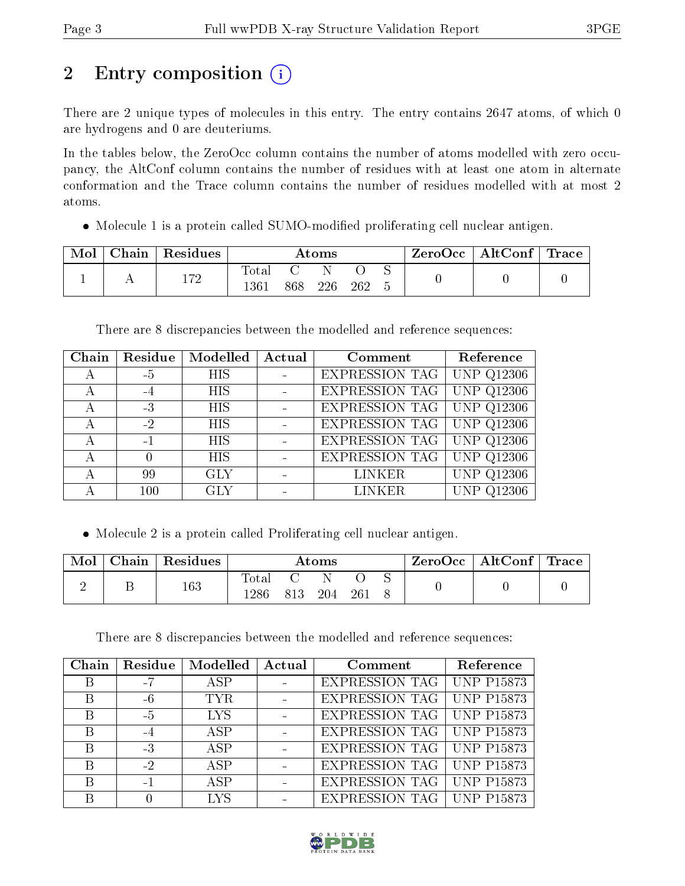## 2 Entry composition (i)

There are 2 unique types of molecules in this entry. The entry contains 2647 atoms, of which 0 are hydrogens and 0 are deuteriums.

In the tables below, the ZeroOcc column contains the number of atoms modelled with zero occupancy, the AltConf column contains the number of residues with at least one atom in alternate conformation and the Trace column contains the number of residues modelled with at most 2 atoms.

• Molecule 1 is a protein called SUMO-modified proliferating cell nuclear antigen.

| Mol | Chain | $\vert$ Residues | Atoms               |  |     | $\text{ZeroOcc} \mid \text{AltConf} \mid \text{Trace}$ |  |  |  |
|-----|-------|------------------|---------------------|--|-----|--------------------------------------------------------|--|--|--|
|     |       | 172              | $\rm Total$<br>1361 |  | 226 | 262                                                    |  |  |  |

There are 8 discrepancies between the modelled and reference sequences:

| Chain | Residue | $\overline{\textbf{Model}}$ | Actual | Comment               | Reference               |
|-------|---------|-----------------------------|--------|-----------------------|-------------------------|
| А     | $-5$    | <b>HIS</b>                  |        | <b>EXPRESSION TAG</b> | <b>UNP Q12306</b>       |
| А     | $-4$    | <b>HIS</b>                  |        | <b>EXPRESSION TAG</b> | <b>UNP Q12306</b>       |
| А     | $-3$    | <b>HIS</b>                  |        | <b>EXPRESSION TAG</b> | $\overline{UNP}$ Q12306 |
| А     | $-2$    | <b>HIS</b>                  |        | EXPRESSION TAG        | <b>UNP Q12306</b>       |
| А     | $-1$    | <b>HIS</b>                  |        | <b>EXPRESSION TAG</b> | <b>UNP Q12306</b>       |
| А     |         | <b>HIS</b>                  |        | <b>EXPRESSION TAG</b> | <b>UNP Q12306</b>       |
| А     | 99      | <b>GLY</b>                  |        | <b>LINKER</b>         | <b>UNP Q12306</b>       |
| А     | 100     | <b>GLY</b>                  |        | <b>LINKER</b>         | <b>UNP Q12306</b>       |

Molecule 2 is a protein called Proliferating cell nuclear antigen.

| Mol | Chain   Residues | $\rm{Atoms}$         |     |     |     |  | ZeroOcc   AltConf   Trace |  |
|-----|------------------|----------------------|-----|-----|-----|--|---------------------------|--|
|     | 163              | <b>Total</b><br>1286 | 813 | 204 | 261 |  |                           |  |

There are 8 discrepancies between the modelled and reference sequences:

| Chain | Residue | Modelled     | Actual | Comment                     | Reference         |
|-------|---------|--------------|--------|-----------------------------|-------------------|
| В     | -7      | ASP.         |        | EXPRESSION TAG   UNP P15873 |                   |
| B     | $-6$    | <b>TYR</b>   |        | EXPRESSION TAG   UNP P15873 |                   |
| B     | $-5$    | <b>LYS</b>   |        | EXPRESSION TAG              | <b>UNP P15873</b> |
| B     | $-4$    | ASP          |        | EXPRESSION TAG   UNP P15873 |                   |
| В     | $-3$    | ASP          |        | EXPRESSION TAG   UNP P15873 |                   |
| B     | $-2$    | $\angle$ ASP |        | EXPRESSION TAG   UNP P15873 |                   |
| В     |         | A SP         |        | <b>EXPRESSION TAG</b>       | <b>UNP P15873</b> |
|       |         | LYS          |        | EXPRESSION TAG   UNP P15873 |                   |

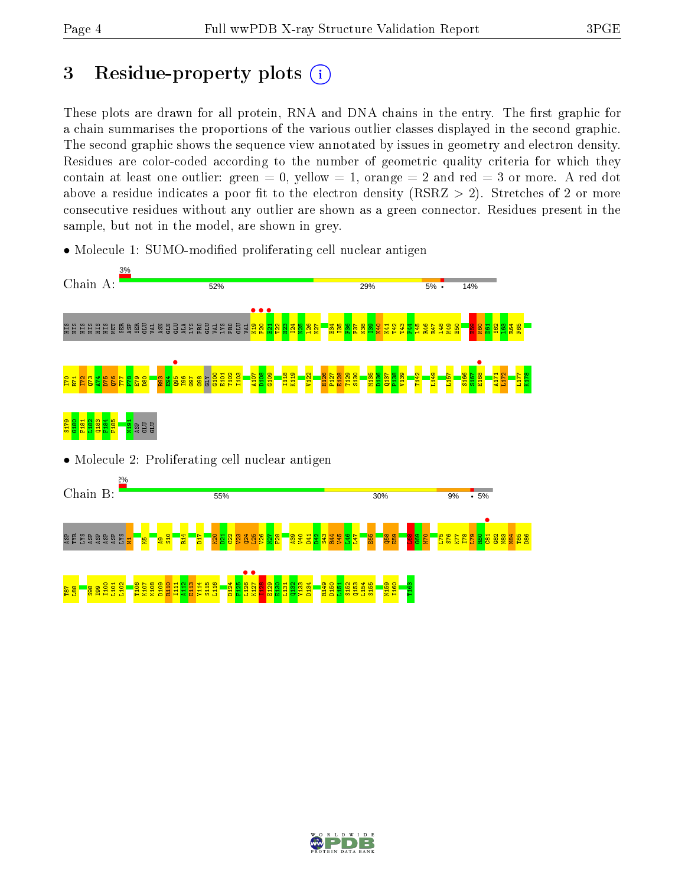## 3 Residue-property plots  $(i)$

These plots are drawn for all protein, RNA and DNA chains in the entry. The first graphic for a chain summarises the proportions of the various outlier classes displayed in the second graphic. The second graphic shows the sequence view annotated by issues in geometry and electron density. Residues are color-coded according to the number of geometric quality criteria for which they contain at least one outlier: green  $= 0$ , yellow  $= 1$ , orange  $= 2$  and red  $= 3$  or more. A red dot above a residue indicates a poor fit to the electron density (RSRZ  $> 2$ ). Stretches of 2 or more consecutive residues without any outlier are shown as a green connector. Residues present in the sample, but not in the model, are shown in grey.



• Molecule 1: SUMO-modified proliferating cell nuclear antigen

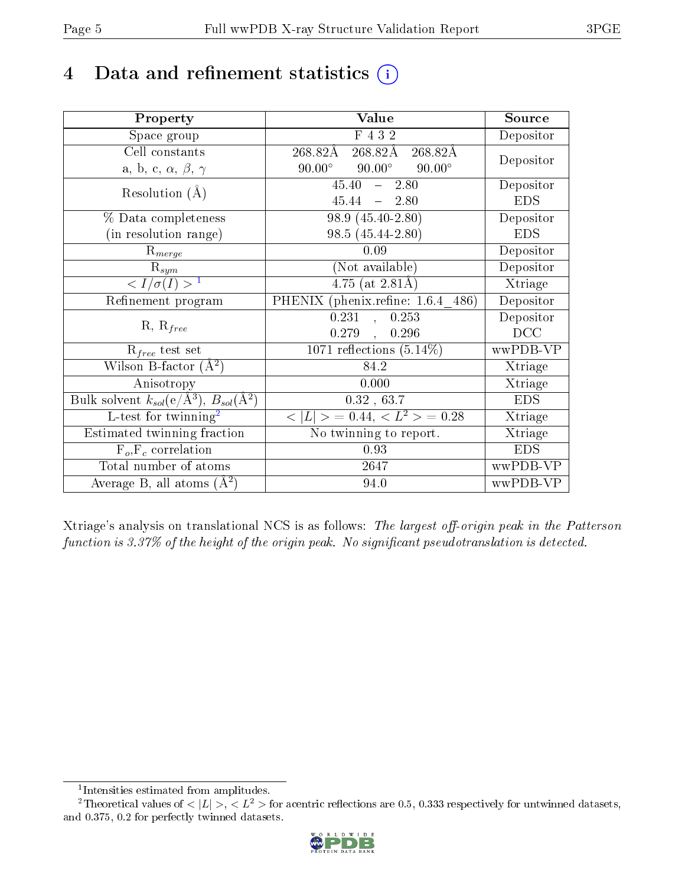## 4 Data and refinement statistics  $(i)$

| Property                                                         | Value                                           | Source     |
|------------------------------------------------------------------|-------------------------------------------------|------------|
| Space group                                                      | F 4 3 2                                         | Depositor  |
| Cell constants                                                   | 268.82Å<br>268.82Å<br>268.82Å                   | Depositor  |
| a, b, c, $\alpha$ , $\beta$ , $\gamma$                           | $90.00^\circ$<br>$90.00^\circ$<br>$90.00^\circ$ |            |
| Resolution $(A)$                                                 | $45.40 - 2.80$                                  | Depositor  |
|                                                                  | $45.44 = 2.80$                                  | <b>EDS</b> |
| % Data completeness                                              | 98.9 (45.40-2.80)                               | Depositor  |
| (in resolution range)                                            | 98.5 (45.44-2.80)                               | <b>EDS</b> |
| $R_{merge}$                                                      | 0.09                                            | Depositor  |
| $\mathrm{R}_{sym}$                                               | (Not available)                                 | Depositor  |
| $\langle I/\sigma(I)\rangle^{-1}$                                | $4.75$ (at 2.81Å)                               | Xtriage    |
| Refinement program                                               | PHENIX (phenix.refine: 1.6.4 486)               | Depositor  |
| $R, R_{free}$                                                    | 0.231,<br>0.253                                 | Depositor  |
|                                                                  | $0.279$ ,<br>0.296                              | DCC        |
| $R_{free}$ test set                                              | 1071 reflections $(5.14\%)$                     | wwPDB-VP   |
| Wilson B-factor $(A^2)$                                          | 84.2                                            | Xtriage    |
| Anisotropy                                                       | 0.000                                           | Xtriage    |
| Bulk solvent $k_{sol}(e/\mathrm{A}^3)$ , $B_{sol}(\mathrm{A}^2)$ | 0.32, 63.7                                      | <b>EDS</b> |
| $L$ -test for twinning <sup>2</sup>                              | $< L >$ = 0.44, $< L2 >$ = 0.28                 | Xtriage    |
| Estimated twinning fraction                                      | No twinning to report.                          | Xtriage    |
| $F_o, F_c$ correlation                                           | 0.93                                            | <b>EDS</b> |
| Total number of atoms                                            | 2647                                            | wwPDB-VP   |
| Average B, all atoms $(A^2)$                                     | 94.0                                            | wwPDB-VP   |

Xtriage's analysis on translational NCS is as follows: The largest off-origin peak in the Patterson function is  $3.37\%$  of the height of the origin peak. No significant pseudotranslation is detected.

<sup>&</sup>lt;sup>2</sup>Theoretical values of  $\langle |L| \rangle$ ,  $\langle L^2 \rangle$  for acentric reflections are 0.5, 0.333 respectively for untwinned datasets, and 0.375, 0.2 for perfectly twinned datasets.



<span id="page-4-1"></span><span id="page-4-0"></span><sup>1</sup> Intensities estimated from amplitudes.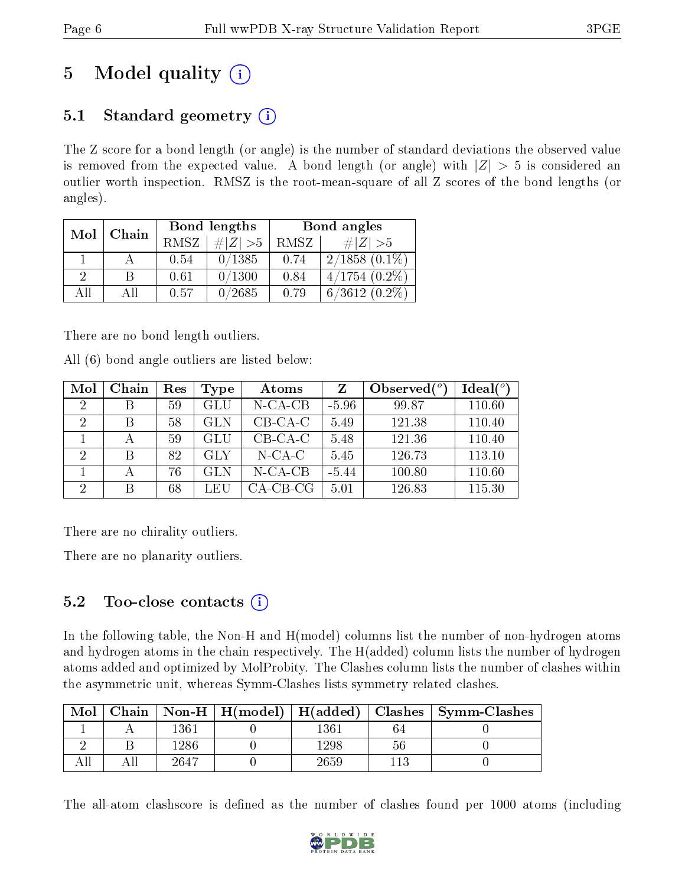## 5 Model quality  $(i)$

### 5.1 Standard geometry  $(i)$

The Z score for a bond length (or angle) is the number of standard deviations the observed value is removed from the expected value. A bond length (or angle) with  $|Z| > 5$  is considered an outlier worth inspection. RMSZ is the root-mean-square of all Z scores of the bond lengths (or angles).

| Mol | Chain |             | Bond lengths | Bond angles |                    |  |
|-----|-------|-------------|--------------|-------------|--------------------|--|
|     |       | <b>RMSZ</b> | $\ Z\  > 5$  | RMSZ        | # $ Z  > 5$        |  |
|     |       | 0.54        | 0/1385       | 0.74        | $2/1858(0.1\%)$    |  |
| 9   | B     | 0.61        | 0/1300       | 0.84        | $4/1754$ $(0.2\%)$ |  |
| АH  | ΑH    | 0.57        | 0/2685       | 0.79        | $6/3612(0.2\%)$    |  |

There are no bond length outliers.

All (6) bond angle outliers are listed below:

| Mol            | Chain | $\operatorname{Res}% \left( \mathcal{N}\right) \equiv\operatorname{Res}(\mathcal{N}_{0})\cap\mathcal{N}_{1}$ | Type       | Atoms       |         | Observed $\binom{o}{c}$ | Ideal $(°)$ |
|----------------|-------|--------------------------------------------------------------------------------------------------------------|------------|-------------|---------|-------------------------|-------------|
| $\overline{2}$ |       | 59                                                                                                           | GLU        | $N$ -CA-CB  | $-5.96$ | 99.87                   | 110.60      |
| 2              | В     | 58                                                                                                           | <b>GLN</b> | $CB-CA-C$   | 5.49    | 121.38                  | 110.40      |
|                |       | 59                                                                                                           | GLU        | $CB-CA-C$   | 5.48    | 121.36                  | 110.40      |
| $\overline{2}$ | R     | 82                                                                                                           | <b>GLY</b> | $N$ -CA-C   | 5.45    | 126.73                  | 113.10      |
|                |       | 76                                                                                                           | <b>GLN</b> | $N$ -CA-CB  | $-5.44$ | 100.80                  | 110.60      |
| $\overline{2}$ |       | 68                                                                                                           | LEU        | $CA$ -CB-CG | 5.01    | 126.83                  | 115.30      |

There are no chirality outliers.

There are no planarity outliers.

### 5.2 Too-close contacts  $(i)$

In the following table, the Non-H and H(model) columns list the number of non-hydrogen atoms and hydrogen atoms in the chain respectively. The H(added) column lists the number of hydrogen atoms added and optimized by MolProbity. The Clashes column lists the number of clashes within the asymmetric unit, whereas Symm-Clashes lists symmetry related clashes.

| Mol |      |          |    | Chain   Non-H   H(model)   H(added)   Clashes   Symm-Clashes |
|-----|------|----------|----|--------------------------------------------------------------|
|     | 1361 | $1361\,$ |    |                                                              |
|     | 1286 | 1298     | 56 |                                                              |
|     | 2647 | 2659     |    |                                                              |

The all-atom clashscore is defined as the number of clashes found per 1000 atoms (including

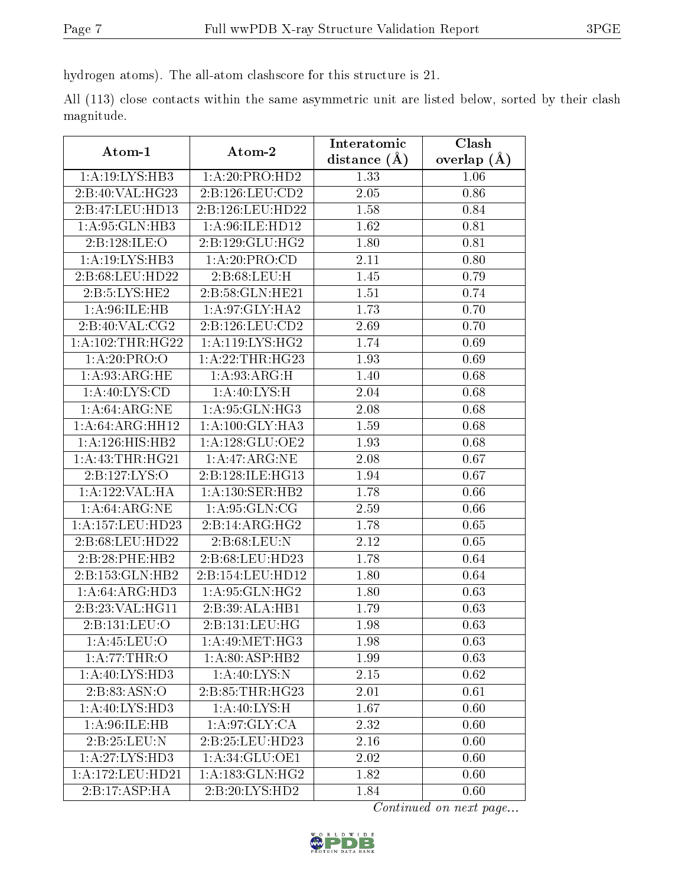hydrogen atoms). The all-atom clashscore for this structure is 21.

All (113) close contacts within the same asymmetric unit are listed below, sorted by their clash magnitude.

| Atom-1               | Atom-2                       | Interatomic    | Clash         |
|----------------------|------------------------------|----------------|---------------|
|                      |                              | distance $(A)$ | overlap $(A)$ |
| 1:A:19:LYS:HB3       | 1:A:20:PRO:HD2               | 1.33           | 1.06          |
| 2:B:40:VAL:HG23      | 2:B:126:LEU:CD2              | 2.05           | 0.86          |
| 2:B:47:LEU:HD13      | 2:B:126:LEU:HD22             | 1.58           | 0.84          |
| 1:A:95:GLN:HB3       | 1:A:96:ILE:HD12              | 1.62           | 0.81          |
| 2:B:128:ILE:O        | 2: B: 129: GLU: HG2          | 1.80           | 0.81          |
| 1:A:19:LYS:HB3       | 1:A:20:PRO:CD                | 2.11           | 0.80          |
| 2:B:68:LEU:HD22      | 2: B:68:LEU:H                | 1.45           | 0.79          |
| 2:B:5:LYS:HE2        | 2:B:58:GLN:HE21              | 1.51           | 0.74          |
| 1: A:96: ILE: HB     | 1: A:97: GLY: HA2            | 1.73           | 0.70          |
| 2:B:40:VAL:CG2       | 2:B:126:LEU:CD2              | 2.69           | 0.70          |
| 1: A: 102: THR: HG22 | 1: A:119: LYS: HG2           | 1.74           | 0.69          |
| 1:A:20:PRO:O         | 1: A:22:THR:HG23             | 1.93           | 0.69          |
| 1: A:93: ARG: HE     | 1: A:93: ARG:H               | 1.40           | 0.68          |
| 1:A:40:LYS:CD        | 1: A:40: LYS:H               | 2.04           | 0.68          |
| 1: A:64: ARG: NE     | 1: A:95: GLN:HG3             | 2.08           | 0.68          |
| 1:A:64:ARG:HH12      | $1:A:\overline{100:GLY:HA3}$ | 1.59           | 0.68          |
| 1: A: 126: HIS: HB2  | 1: A: 128: GLU: OE2          | 1.93           | 0.68          |
| 1: A:43:THR:HG21     | 1:A:47:ARG:NE                | 2.08           | 0.67          |
| 2:B:127:LYS:O        | 2:B:128:ILE:HG13             | 1.94           | 0.67          |
| 1:A:122:VAL:HA       | 1: A: 130: SER: HB2          | 1.78           | 0.66          |
| 1: A:64: ARG: NE     | 1: A:95: GLN:CG              | 2.59           | 0.66          |
| 1: A: 157: LEU: HD23 | 2:B:14:ARG:HG2               | 1.78           | 0.65          |
| 2:B:68:LEU:HD22      | 2:B:68:LEU:N                 | 2.12           | 0.65          |
| 2:B:28:PHE:HB2       | 2:B:68:LEU:HD23              | 1.78           | 0.64          |
| 2:B:153:GLN:HB2      | 2:B:154:LEU:HD12             | 1.80           | 0.64          |
| 1: A:64: ARG:HD3     | 1:A:95:GLN:HG2               | 1.80           | 0.63          |
| 2:B:23:VAL:HG11      | 2:B:39:ALA:HB1               | 1.79           | 0.63          |
| 2:B:131:LEU:O        | 2:B:131:LEU:HG               | 1.98           | 0.63          |
| 1:A:45:LEU:O         | 1: A:49:MET:HG3              | 1.98           | 0.63          |
| 1: A:77:THR:O        | 1: A:80: ASP:HB2             | 1.99           | 0.63          |
| 1: A:40: LYS:HD3     | 1: A:40: LYS:N               | 2.15           | 0.62          |
| 2:B:83:ASN:O         | 2:B:85:THR:HG23              | 2.01           | 0.61          |
| 1: A:40: LYS:HD3     | 1: A:40: LYS:H               | 1.67           | 0.60          |
| 1: A:96: ILE: HB     | 1: A:97: GLY: CA             | 2.32           | 0.60          |
| 2:B:25:LEU:N         | 2:B:25:LEU:HD23              | 2.16           | 0.60          |
| 1:A:27:LYS:HD3       | 1:A:34:GLU:OE1               | $2.02\,$       | 0.60          |
| 1: A:172: LEU: HD21  | 1: A: 183: GLN: HG2          | 1.82           | 0.60          |
| 2:B:17:ASP:HA        | 2:B:20:LYS:HD2               | 1.84           | 0.60          |

Continued on next page...

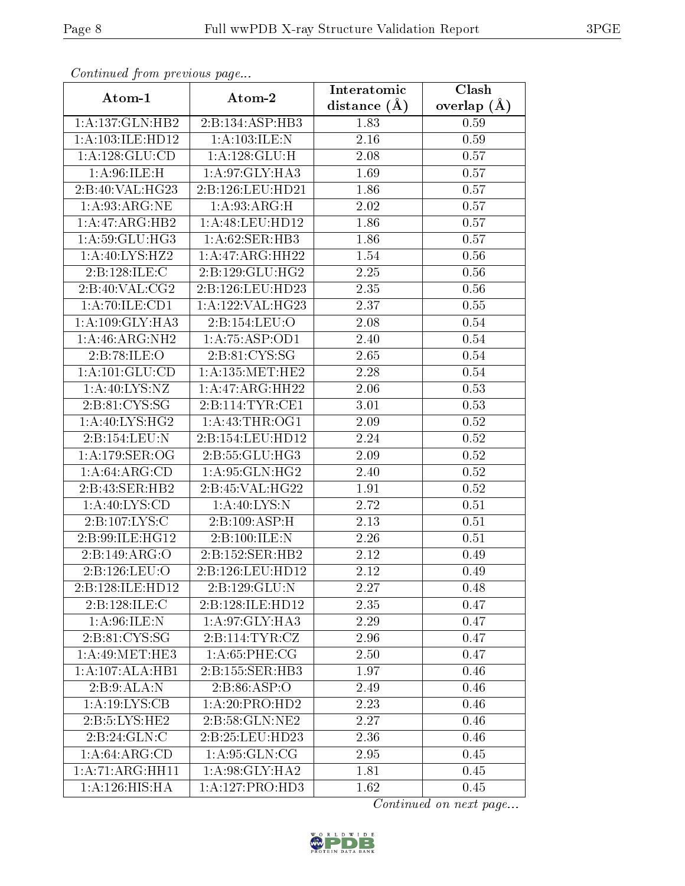| Continuati pont previous page |                               | Interatomic    | Clash         |
|-------------------------------|-------------------------------|----------------|---------------|
| Atom-1                        | Atom-2                        | distance $(A)$ | overlap $(A)$ |
| 1:A:137:GLN:HB2               | 2:B:134:ASP:HB3               | 1.83           | 0.59          |
| 1: A:103: ILE: HD12           | 1:A:103:ILE:N                 | $2.16\,$       | 0.59          |
| 1:A:128:GLU:CD                | 1:A:128:GLU:H                 | $2.08\,$       | 0.57          |
| 1: A:96: ILE:H                | 1: A:97: GLY:HA3              | 1.69           | 0.57          |
| 2:B:40:VAL:HG23               | 2:B:126:LEU:HD21              | 1.86           | 0.57          |
| 1: A:93: ARG:NE               | 1: A:93: ARG:H                | 2.02           | 0.57          |
| 1:A:47:ARG:HB2                | 1: A:48: LEU: HD12            | 1.86           | 0.57          |
| 1: A:59: GLU:HG3              | 1:A:62:SER:HB3                | 1.86           | 0.57          |
| 1:A:40:LYS:HZ2                | 1:A:47:ARG:HH22               | 1.54           | 0.56          |
| 2:B:128:ILE:C                 | 2:B:129:GLU:HG2               | 2.25           | 0.56          |
| 2:B:40:VAL:CG2                | 2:B:126:LEU:HD23              | 2.35           | $0.56\,$      |
| 1:A:70:ILE:CD1                | 1:A:122:VAL:HG23              | 2.37           | 0.55          |
| 1: A:109: GLY: HA3            | 2:B:154:LEU:O                 | 2.08           | 0.54          |
| 1: A:46: ARG: NH2             | $1: A:75: \overline{A}SP:OD1$ | 2.40           | $0.54\,$      |
| 2:B:78:ILE:O                  | 2:B:81:CYS:SG                 | 2.65           | 0.54          |
| 1: A: 101: GLU: CD            | 1: A: 135: MET: HE2           | 2.28           | 0.54          |
| 1: A:40: LYS:NZ               | 1:A:47:ARG:HH22               | 2.06           | 0.53          |
| 2:B:81:CYS:SG                 | 2:B:114:TYR:CE1               | 3.01           | 0.53          |
| 1: A:40: LYS: HG2             | 1: A: 43: THR: OG1            | 2.09           | 0.52          |
| 2:B:154:LEU:N                 | 2:B:154:LEU:HD12              | 2.24           | 0.52          |
| 1: A:179: SER:OG              | 2:B:55:GLU:HG3                | 2.09           | 0.52          |
| 1: A:64: ARG:CD               | 1: A:95: GLN: HG2             | 2.40           | 0.52          |
| 2:B:43:SER:HB2                | 2:B:45:VAL:HG22               | 1.91           | 0.52          |
| 1: A:40: LYS:CD               | 1: A:40: LYS:N                | 2.72           | 0.51          |
| 2:B:107:LYS:C                 | 2:B:109:ASP:H                 | 2.13           | 0.51          |
| 2:B:99:ILE:HG12               | 2: B: 100: ILE:N              | 2.26           | 0.51          |
| 2:B:149:ARG:O                 | 2:B:152:SER:HB2               | 2.12           | 0.49          |
| 2:B:126:LEU:O                 | 2:B:126:LEU:HD12              | 2.12           | 0.49          |
| 2:B:128:ILE:HD12              | 2:B:129:GLU:N                 | 2.27           | 0.48          |
| 2:B:128:ILE:C                 | 2:B:128:ILE:HD12              | 2.35           | 0.47          |
| 1: A:96: ILE:N                | 1: A:97: GLY: HA3             | 2.29           | 0.47          |
| 2:B:81:CYS:SG                 | 2:B:114:TYR:CZ                | 2.96           | 0.47          |
| 1: A:49:MET:HE3               | 1: A:65:PHE:CG                | 2.50           | 0.47          |
| 1:A:107:ALA:HB1               | 2:B:155:SER:HB3               | 1.97           | 0.46          |
| 2:B:9:ALA:N                   | 2: B:86: ASP:O                | 2.49           | 0.46          |
| 1: A: 19: LYS: CB             | 1:A:20:PRO:HD2                | 2.23           | 0.46          |
| 2:B:5:LYS:HE2                 | 2:B:58:GLN:NE2                | 2.27           | 0.46          |
| 2:B:24:GLN:C                  | 2:B:25:LEU:HD23               | 2.36           | 0.46          |
| 1: A:64: ARG:CD               | 1: A:95: GLN:CG               | 2.95           | 0.45          |
| 1:A:71:ARG:HH11               | 1: A:98: GLY: HA2             | 1.81           | 0.45          |
| 1: A:126: HIS: HA             | 1:A:127:PRO:HD3               | 1.62           | 0.45          |

Continued from previous page.

Continued on next page...

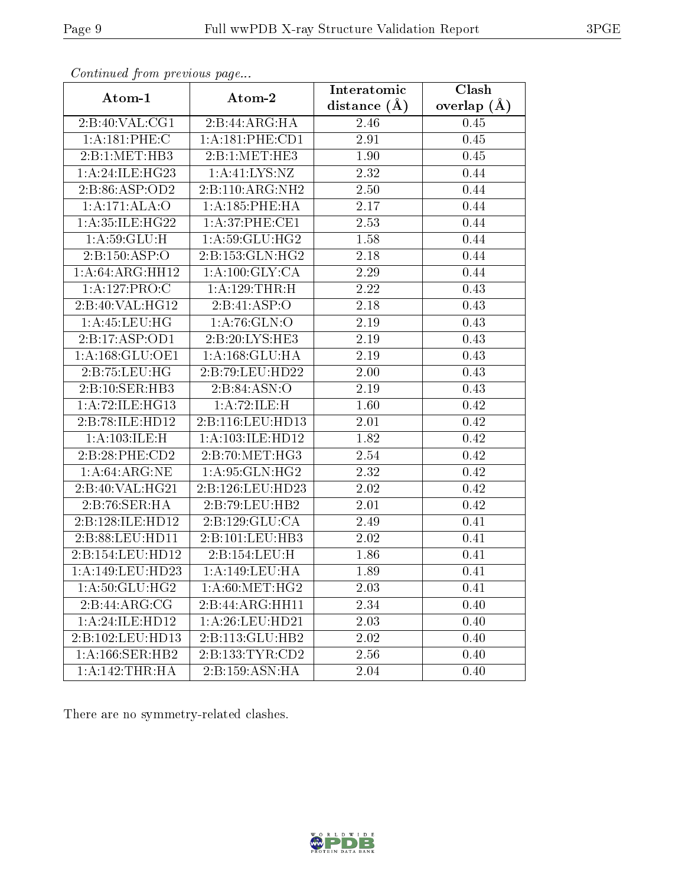| contentava promo provisão pago |                      | Interatomic      | Clash         |
|--------------------------------|----------------------|------------------|---------------|
| Atom-1                         | Atom-2               | distance $(\AA)$ | overlap $(A)$ |
| 2:B:40:VAL:CG1                 | 2:B:44:ARG:HA        | 2.46             | 0.45          |
| 1:A:181:PHE:C                  | 1: A:181:PHE:CD1     | 2.91             | 0.45          |
| 2:Bi:1:MET:HB3                 | 2:B:1:MET:HE3        | 1.90             | 0.45          |
| 1:A:24:ILE:HG23                | 1: A: 41: LYS: NZ    | 2.32             | 0.44          |
| 2:B:86:ASP:OD2                 | 2:B:110:ARG:NH2      | 2.50             | 0.44          |
| 1:A:171:ALA:O                  | 1: A: 185: PHE: HA   | 2.17             | 0.44          |
| 1:A:35:ILE:HG22                | 1:A:37:PHE:CE1       | 2.53             | 0.44          |
| 1: A:59: GLU:H                 | 1:A:59:GLU:HG2       | 1.58             | 0.44          |
| 2:B:150:ASP:O                  | 2:B:153:GLN:HG2      | 2.18             | 0.44          |
| 1:A:64:ARG:HH12                | 1: A: 100: GLY: CA   | 2.29             | 0.44          |
| 1:A:127:PRO:C                  | 1:A:129:THR:H        | 2.22             | 0.43          |
| 2:B:40:VAL:HG12                | 2:B:41:ASP:O         | 2.18             | 0.43          |
| 1:A:45:LEU:HG                  | 1: A:76: GLN:O       | 2.19             | 0.43          |
| 2:B:17:ASP:OD1                 | 2:B:20:LYS:HE3       | 2.19             | 0.43          |
| 1: A: 168: GLU: OE1            | 1: A: 168: GLU: HA   | 2.19             | 0.43          |
| 2:B:75:LEU:HG                  | 2:B:79:LEU:HD22      | 2.00             | 0.43          |
| 2:B:10:SER:HB3                 | 2:B:84:ASN:O         | 2.19             | 0.43          |
| 1:A:72:ILE:HG13                | 1:A:72:ILE:H         | 1.60             | 0.42          |
| 2:B:78:ILE:HD12                | 2:B:116:LEU:HD13     | 2.01             | 0.42          |
| 1:A:103:ILE:H                  | 1: A: 103: ILE: HD12 | 1.82             | 0.42          |
| 2:B:28:PHE:CD2                 | 2:B:70:MET:HG3       | 2.54             | 0.42          |
| 1: A:64: ARG:NE                | 1: A:95: GLN: HG2    | 2.32             | 0.42          |
| 2:B:40:VAL:HG21                | 2:B:126:LEU:HD23     | 2.02             | 0.42          |
| 2:B:76:SER:HA                  | 2:B:79:LEU:HB2       | 2.01             | 0.42          |
| 2:B:128:ILE:HD12               | 2:B:129:GLU:CA       | 2.49             | 0.41          |
| 2:B:88:LEU:HD11                | 2:B:101:LEU:HB3      | 2.02             | 0.41          |
| 2:B:154:LEU:HD12               | 2:B:154:LEU:H        | 1.86             | 0.41          |
| 1:A:149:LEU:HD23               | 1:A:149:LEU:HA       | 1.89             | 0.41          |
| 1:A:50:GLU:HG2                 | 1: A:60:MET:HG2      | 2.03             | 0.41          |
| 2:B:44:ARG:CG                  | 2:B:44:ARG:HH11      | 2.34             | 0.40          |
| 1:A:24:ILE:HD12                | 1: A:26:LEU:HD21     | 2.03             | 0.40          |
| 2:B:102:LEU:HD13               | 2:B:113:GLU:HB2      | 2.02             | 0.40          |
| 1: A:166: SER: HB2             | 2:B:133:TYR:CD2      | 2.56             | 0.40          |
| 1:A:142:THR:HA                 | 2:B:159:ASN:HA       | 2.04             | 0.40          |

Continued from previous page...

There are no symmetry-related clashes.

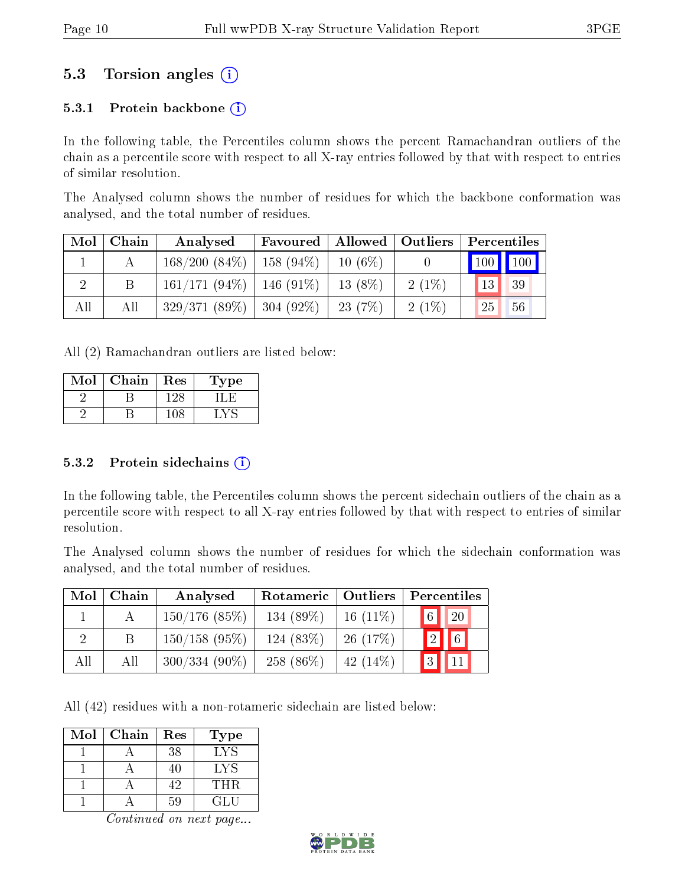### 5.3 Torsion angles (i)

#### 5.3.1 Protein backbone  $(i)$

In the following table, the Percentiles column shows the percent Ramachandran outliers of the chain as a percentile score with respect to all X-ray entries followed by that with respect to entries of similar resolution.

The Analysed column shows the number of residues for which the backbone conformation was analysed, and the total number of residues.

| Mol | Chain | Analysed                          | Favoured | Allowed   Outliers |          |                       | Percentiles |
|-----|-------|-----------------------------------|----------|--------------------|----------|-----------------------|-------------|
|     |       | $168/200$ $(84\%)$   158 $(94\%)$ |          | $10(6\%)$          |          | $\mid$ 100 $\mid$ 100 |             |
|     |       | $161/171 (94\%)$   146 (91\%)     |          | $13(8\%)$          | $2(1\%)$ | 13                    | 39          |
| All | All   | $329/371(89\%)$   304 (92\%)      |          | 23(7%)             | $2(1\%)$ | 25                    | 56          |

All (2) Ramachandran outliers are listed below:

| Mol | Chain | Res | 1'ype |
|-----|-------|-----|-------|
|     |       |     |       |
|     |       |     |       |

#### 5.3.2 Protein sidechains  $(i)$

In the following table, the Percentiles column shows the percent sidechain outliers of the chain as a percentile score with respect to all X-ray entries followed by that with respect to entries of similar resolution.

The Analysed column shows the number of residues for which the sidechain conformation was analysed, and the total number of residues.

| Mol | Chain | Analysed        | Rotameric   | Outliers    | Percentiles             |
|-----|-------|-----------------|-------------|-------------|-------------------------|
|     |       | $150/176$ (85%) | 134 (89%)   | 16 $(11\%)$ | $\boxed{6}$ 20          |
|     |       | $150/158$ (95%) | $124(83\%)$ | 26(17%)     | $\boxed{2}$ $\boxed{6}$ |
| All | All   | $300/334(90\%)$ | 258 (86\%)  | 42 $(14\%)$ | 3                       |

All (42) residues with a non-rotameric sidechain are listed below:

| Mol | Chain | Res | Type |
|-----|-------|-----|------|
|     |       | 38  | LYS  |
|     |       | 40  | LYS  |
|     |       |     | THR. |
|     |       | 50  | GLU  |

Continued on next page...

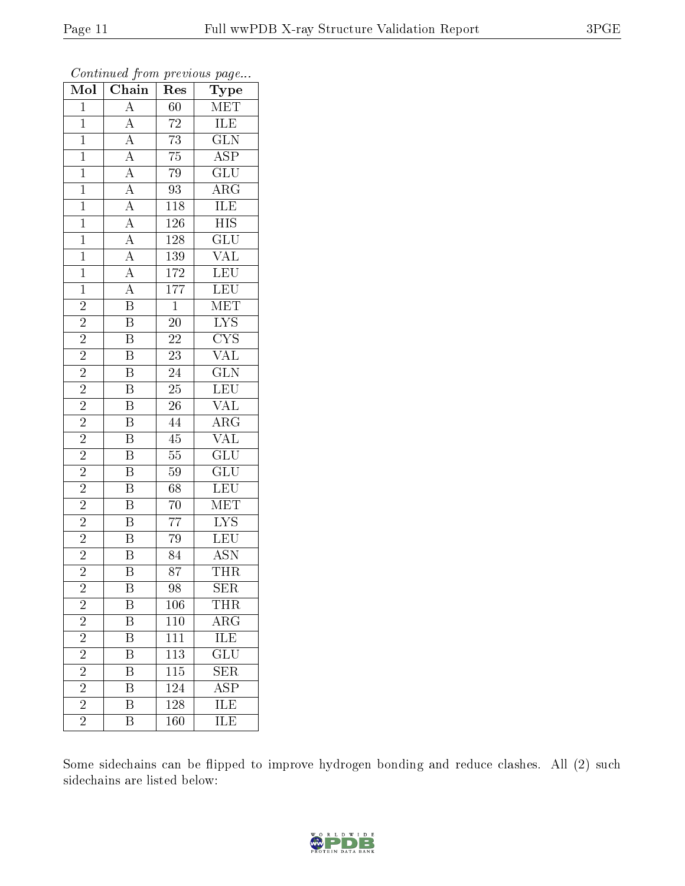| Mol                     | $\overline{\text{Chain}}$                                                                                                                                                                                                                                   | Res              | $\overline{\phantom{a}}$<br>Type           |
|-------------------------|-------------------------------------------------------------------------------------------------------------------------------------------------------------------------------------------------------------------------------------------------------------|------------------|--------------------------------------------|
| $\mathbf{1}$            | $\mathbf{A}$                                                                                                                                                                                                                                                | 60               | <b>MET</b>                                 |
| $\mathbf{1}$            | $\overline{A}$                                                                                                                                                                                                                                              | $\sqrt{72}$      | ILE                                        |
| $\mathbf{1}$            |                                                                                                                                                                                                                                                             | $\overline{73}$  | $\overline{\text{GLN}}$                    |
| $\overline{1}$          |                                                                                                                                                                                                                                                             | $\overline{75}$  | $\overline{\text{ASP}}$                    |
| $\overline{1}$          |                                                                                                                                                                                                                                                             | $\overline{79}$  | $\overline{{\rm GLU}}$                     |
| $\mathbf{1}$            | $\frac{\overline{A}}{\overline{A}}$ $\frac{\overline{A}}{\overline{A}}$ $\frac{\overline{A}}{\overline{A}}$ $\frac{\overline{A}}{\overline{A}}$ $\frac{\overline{A}}{\overline{A}}$ $\frac{\overline{A}}{\overline{A}}$ $\frac{\overline{A}}{\overline{B}}$ | 93               | $\overline{\rm{ARG}}$                      |
| $\mathbf{1}$            |                                                                                                                                                                                                                                                             | <b>118</b>       | $\overline{\text{ILE}}$                    |
| $\mathbf{1}$            |                                                                                                                                                                                                                                                             | 126              | <b>HIS</b>                                 |
| $\overline{1}$          |                                                                                                                                                                                                                                                             | 128              | $\overline{\text{GLU}}$                    |
| $\overline{1}$          |                                                                                                                                                                                                                                                             | 139              | $\overline{\text{VAL}}$                    |
| $\mathbf{1}$            |                                                                                                                                                                                                                                                             | 172              | $\overline{\text{LEU}}$                    |
| $\overline{1}$          |                                                                                                                                                                                                                                                             | 177              | <u>LEU</u>                                 |
| $\overline{2}$          |                                                                                                                                                                                                                                                             | $\overline{1}$   | MET                                        |
| $\overline{2}$          | $\overline{\mathbf{B}}$                                                                                                                                                                                                                                     | 20               | $\overline{\text{LYS}}$                    |
| $\overline{2}$          | $\overline{\mathrm{B}}$                                                                                                                                                                                                                                     | $\overline{22}$  | $\overline{\text{CYS}}$                    |
| $\overline{c}$          | $\overline{\mathbf{B}}$                                                                                                                                                                                                                                     | $\overline{23}$  | $\frac{\overline{\text{VAL}}}{\text{GLN}}$ |
| $\overline{2}$          | $\overline{\mathrm{B}}$                                                                                                                                                                                                                                     | $\overline{24}$  |                                            |
| $\overline{2}$          | $\overline{\mathbf{B}}$                                                                                                                                                                                                                                     | $\overline{25}$  | LEU<br>VAL                                 |
| $\overline{2}$          | $\overline{\mathrm{B}}$                                                                                                                                                                                                                                     | $\overline{26}$  |                                            |
| $\overline{2}$          | $\overline{\mathrm{B}}$                                                                                                                                                                                                                                     | 44               | $\rm{ARG}$                                 |
| $\overline{2}$          | $\overline{B}$                                                                                                                                                                                                                                              | 45               | $\overline{\text{VAL}}$                    |
| $\overline{2}$          | $\overline{\mathbf{B}}$                                                                                                                                                                                                                                     | $55\,$           | $\overline{\text{GLU}}$                    |
| $\overline{2}$          | $\overline{\mathbf{B}}$                                                                                                                                                                                                                                     | $59\,$           | $\overline{\text{GLU}}$                    |
| $\overline{2}$          | $\overline{\mathbf{B}}$                                                                                                                                                                                                                                     | $\overline{68}$  | LEU                                        |
| $\overline{2}$          | $\overline{\mathbf{B}}$                                                                                                                                                                                                                                     | $\overline{70}$  | MET                                        |
| $\overline{c}$          | $\overline{\mathrm{B}}$                                                                                                                                                                                                                                     | $\overline{77}$  | $\overline{\text{LYS}}$                    |
| $\overline{2}$          | $\overline{\mathrm{B}}$                                                                                                                                                                                                                                     | $\overline{79}$  | LEU                                        |
| $\overline{2}$          | $\overline{\mathrm{B}}$                                                                                                                                                                                                                                     | 84               | <b>ASN</b>                                 |
| $\overline{2}$          | $\overline{\mathrm{B}}$                                                                                                                                                                                                                                     | $\overline{87}$  | <b>THR</b>                                 |
| $\overline{\mathbf{c}}$ | B                                                                                                                                                                                                                                                           | 98               | <b>SER</b>                                 |
| $\overline{c}$          | $\boldsymbol{B}$                                                                                                                                                                                                                                            | 106              | THR                                        |
| $\overline{2}$          | $\overline{\mathrm{B}}$                                                                                                                                                                                                                                     | $\overline{1}10$ | $\overline{\text{ARG}}$                    |
| $\overline{2}$          | Β                                                                                                                                                                                                                                                           | 111              | $\overline{\text{ILE}}$                    |
| $\overline{2}$          | $\overline{\mathrm{B}}$                                                                                                                                                                                                                                     | $\overline{113}$ | $\overline{{\rm GLU}}$                     |
| $\overline{2}$          | Β                                                                                                                                                                                                                                                           | 115              | <b>SER</b>                                 |
| $\overline{2}$          | $\overline{\mathrm{B}}$                                                                                                                                                                                                                                     | 124              | $\overline{\rm ASP}$                       |
| $\overline{2}$          | B                                                                                                                                                                                                                                                           | 128              | $\overline{\text{ILE}}$                    |
| $\overline{2}$          | B                                                                                                                                                                                                                                                           | 160              | ILE                                        |

Continued from previous page...

Some sidechains can be flipped to improve hydrogen bonding and reduce clashes. All (2) such sidechains are listed below:

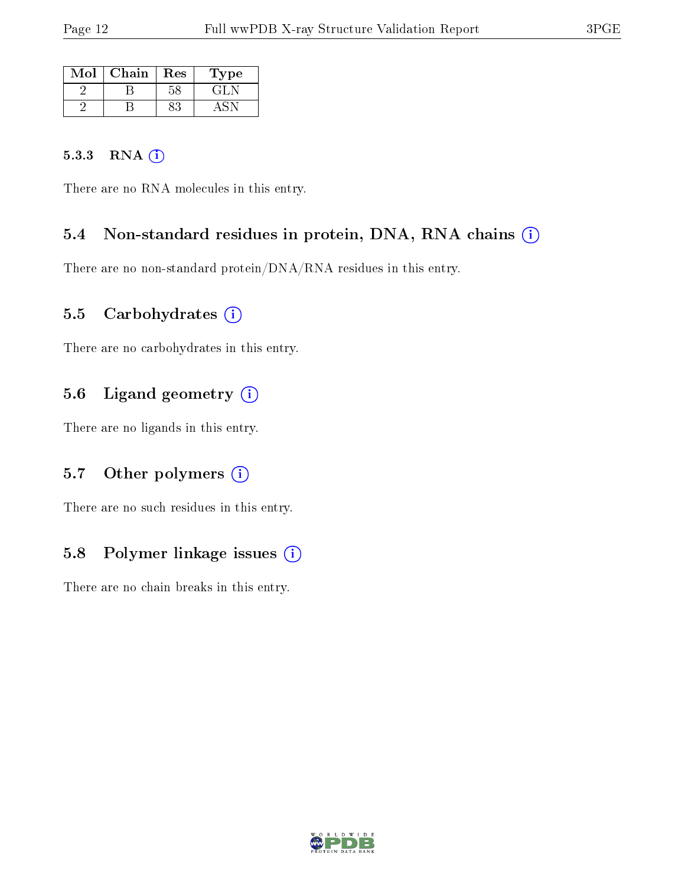| $\operatorname{Mol}$ | Chain | $\operatorname{Res}$ | Type |
|----------------------|-------|----------------------|------|
|                      |       |                      | GH   |
|                      |       |                      |      |

#### 5.3.3 RNA (1)

There are no RNA molecules in this entry.

#### 5.4 Non-standard residues in protein, DNA, RNA chains (i)

There are no non-standard protein/DNA/RNA residues in this entry.

#### 5.5 Carbohydrates (i)

There are no carbohydrates in this entry.

#### 5.6 Ligand geometry (i)

There are no ligands in this entry.

#### 5.7 [O](https://www.wwpdb.org/validation/2017/XrayValidationReportHelp#nonstandard_residues_and_ligands)ther polymers (i)

There are no such residues in this entry.

#### 5.8 Polymer linkage issues (i)

There are no chain breaks in this entry.

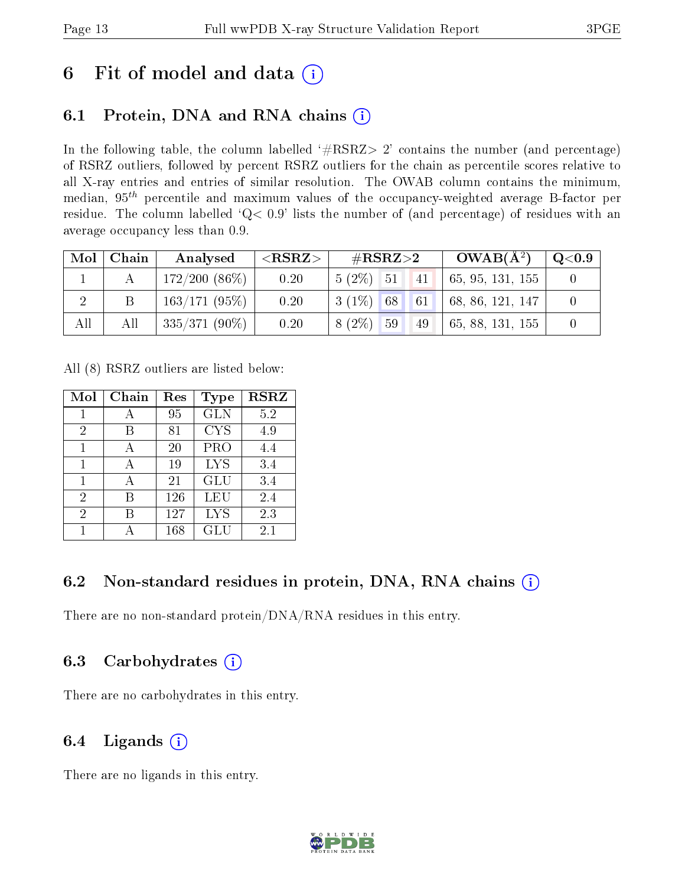### 6 Fit of model and data  $(i)$

### 6.1 Protein, DNA and RNA chains  $(i)$

In the following table, the column labelled  $#RSRZ> 2'$  contains the number (and percentage) of RSRZ outliers, followed by percent RSRZ outliers for the chain as percentile scores relative to all X-ray entries and entries of similar resolution. The OWAB column contains the minimum, median,  $95<sup>th</sup>$  percentile and maximum values of the occupancy-weighted average B-factor per residue. The column labelled ' $Q< 0.9$ ' lists the number of (and percentage) of residues with an average occupancy less than 0.9.

| Mol | Chain | Analysed        | ${ <\hspace{-1.5pt}{\mathrm{RSRZ}} \hspace{-1.5pt}>}$ | $\rm \#RSRZ{>}2$ | $OWAB(A^2)$                                                                  | $\rm{Q}\textcolor{black}{<}0.9$ |
|-----|-------|-----------------|-------------------------------------------------------|------------------|------------------------------------------------------------------------------|---------------------------------|
|     |       | $172/200(86\%)$ | 0.20                                                  | $5(2\%)$ 51 41   | $\vert 65, 95, 131, 155 \vert$                                               |                                 |
|     |       | $163/171(95\%)$ | 0.20                                                  | $3(1\%)$ 68      | $\begin{array}{ c c c c c } \hline 61 & 68, 86, 121, 147 \hline \end{array}$ |                                 |
| All | All   | $335/371(90\%)$ | 0.20                                                  | $8(2\%)$ 59      | $\vert\,49\,\vert\,$   65, 88, 131, 155                                      |                                 |

All (8) RSRZ outliers are listed below:

| Mol | Chain | Res | Type       | <b>RSRZ</b> |
|-----|-------|-----|------------|-------------|
|     |       | 95  | <b>GLN</b> | $5.2\,$     |
| 2   | В     | 81  | <b>CYS</b> | 4.9         |
| 1   | А     | 20  | <b>PRO</b> | 4.4         |
| 1   |       | 19  | <b>LYS</b> | 3.4         |
|     |       | 21  | <b>GLU</b> | 3.4         |
| 2   | В     | 126 | LEU        | 2.4         |
| 2   | R     | 127 | <b>LYS</b> | 2.3         |
|     |       | 168 | GLU        | 2.1         |

#### 6.2 Non-standard residues in protein, DNA, RNA chains (i)

There are no non-standard protein/DNA/RNA residues in this entry.

#### 6.3 Carbohydrates (i)

There are no carbohydrates in this entry.

#### 6.4 Ligands  $(i)$

There are no ligands in this entry.